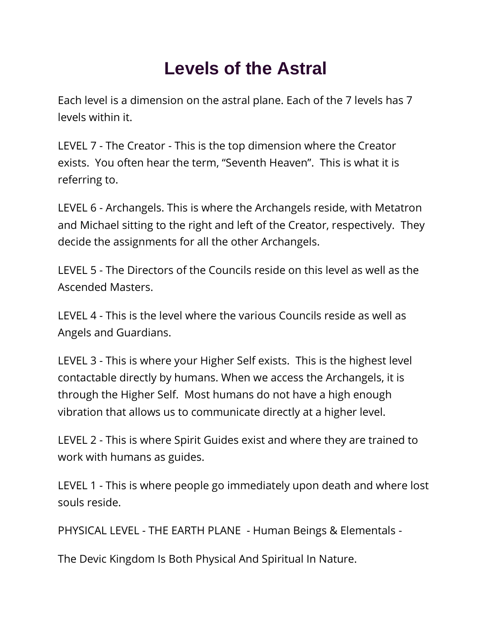## **Levels of the Astral**

Each level is a dimension on the astral plane. Each of the 7 levels has 7 levels within it.

LEVEL 7 - The Creator - This is the top dimension where the Creator exists. You often hear the term, "Seventh Heaven". This is what it is referring to.

LEVEL 6 - Archangels. This is where the Archangels reside, with Metatron and Michael sitting to the right and left of the Creator, respectively. They decide the assignments for all the other Archangels.

LEVEL 5 - The Directors of the Councils reside on this level as well as the Ascended Masters.

LEVEL 4 - This is the level where the various Councils reside as well as Angels and Guardians.

LEVEL 3 - This is where your Higher Self exists. This is the highest level contactable directly by humans. When we access the Archangels, it is through the Higher Self. Most humans do not have a high enough vibration that allows us to communicate directly at a higher level.

LEVEL 2 - This is where Spirit Guides exist and where they are trained to work with humans as guides.

LEVEL 1 - This is where people go immediately upon death and where lost souls reside.

PHYSICAL LEVEL - THE EARTH PLANE - Human Beings & Elementals -

The Devic Kingdom Is Both Physical And Spiritual In Nature.